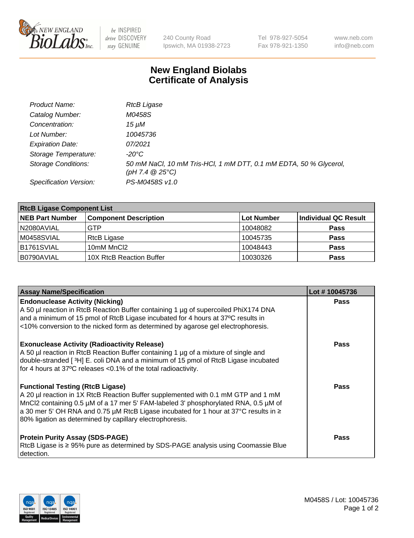

 $be$  INSPIRED drive DISCOVERY stay GENUINE

240 County Road Ipswich, MA 01938-2723 Tel 978-927-5054 Fax 978-921-1350 www.neb.com info@neb.com

## **New England Biolabs Certificate of Analysis**

| Product Name:              | <b>RtcB Ligase</b>                                                                     |
|----------------------------|----------------------------------------------------------------------------------------|
| Catalog Number:            | M0458S                                                                                 |
| Concentration:             | 15 µM                                                                                  |
| Lot Number:                | 10045736                                                                               |
| <b>Expiration Date:</b>    | 07/2021                                                                                |
| Storage Temperature:       | -20°C                                                                                  |
| <b>Storage Conditions:</b> | 50 mM NaCl, 10 mM Tris-HCl, 1 mM DTT, 0.1 mM EDTA, 50 % Glycerol,<br>(pH 7.4 $@25°C$ ) |
| Specification Version:     | PS-M0458S v1.0                                                                         |

| <b>RtcB Ligase Component List</b> |                              |                   |                             |  |
|-----------------------------------|------------------------------|-------------------|-----------------------------|--|
| <b>NEB Part Number</b>            | <b>Component Description</b> | <b>Lot Number</b> | <b>Individual QC Result</b> |  |
| N2080AVIAL                        | GTP                          | 10048082          | <b>Pass</b>                 |  |
| M0458SVIAL                        | RtcB Ligase                  | 10045735          | <b>Pass</b>                 |  |
| B1761SVIAL                        | 10mM MnCl2                   | 10048443          | <b>Pass</b>                 |  |
| B0790AVIAL                        | 10X RtcB Reaction Buffer     | 10030326          | <b>Pass</b>                 |  |

| <b>Assay Name/Specification</b>                                                                                                                                                                                                                                                                                                                                         | Lot #10045736 |
|-------------------------------------------------------------------------------------------------------------------------------------------------------------------------------------------------------------------------------------------------------------------------------------------------------------------------------------------------------------------------|---------------|
| <b>Endonuclease Activity (Nicking)</b><br>A 50 µl reaction in RtcB Reaction Buffer containing 1 µg of supercoiled PhiX174 DNA<br>and a minimum of 15 pmol of RtcB Ligase incubated for 4 hours at 37°C results in<br><10% conversion to the nicked form as determined by agarose gel electrophoresis.                                                                   | <b>Pass</b>   |
| <b>Exonuclease Activity (Radioactivity Release)</b><br>A 50 µl reaction in RtcB Reaction Buffer containing 1 µg of a mixture of single and<br>double-stranded [3H] E. coli DNA and a minimum of 15 pmol of RtcB Ligase incubated<br>for 4 hours at 37°C releases <0.1% of the total radioactivity.                                                                      | Pass          |
| <b>Functional Testing (RtcB Ligase)</b><br>A 20 µl reaction in 1X RtcB Reaction Buffer supplemented with 0.1 mM GTP and 1 mM<br>MnCl2 containing 0.5 µM of a 17 mer 5' FAM-labeled 3' phosphorylated RNA, 0.5 µM of<br>a 30 mer 5' OH RNA and 0.75 µM RtcB Ligase incubated for 1 hour at 37°C results in ≥<br>80% ligation as determined by capillary electrophoresis. | <b>Pass</b>   |
| <b>Protein Purity Assay (SDS-PAGE)</b><br>RtcB Ligase is ≥ 95% pure as determined by SDS-PAGE analysis using Coomassie Blue<br>detection.                                                                                                                                                                                                                               | Pass          |